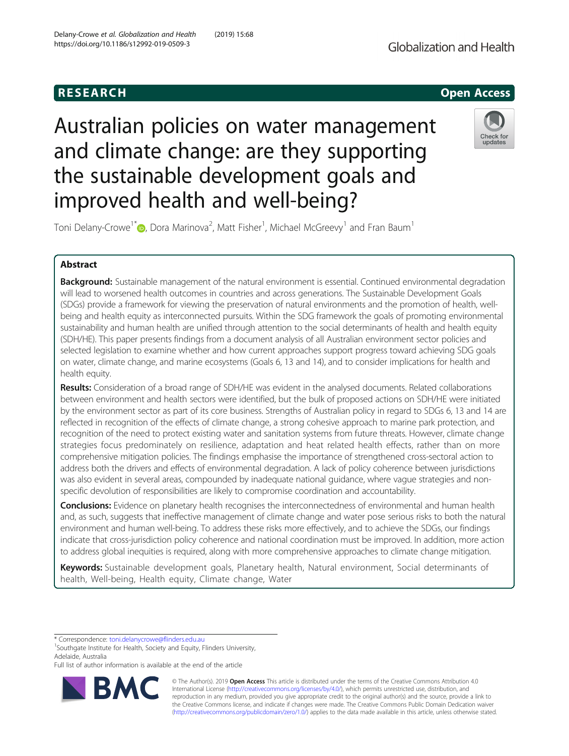# R E S EAR CH Open Access

Australian policies on water management and climate change: are they supporting the sustainable development goals and improved health and well-being?



Toni Delany-Crowe $^{\text{1*}}$  $^{\text{1*}}$  $^{\text{1*}}$  (D, Dora Marinova $^2$ , Matt Fisher $^{\text{1}}$ , Michael McGreevy $^{\text{1}}$  and Fran Baum $^{\text{1}}$ 

## Abstract

Background: Sustainable management of the natural environment is essential. Continued environmental degradation will lead to worsened health outcomes in countries and across generations. The Sustainable Development Goals (SDGs) provide a framework for viewing the preservation of natural environments and the promotion of health, wellbeing and health equity as interconnected pursuits. Within the SDG framework the goals of promoting environmental sustainability and human health are unified through attention to the social determinants of health and health equity (SDH/HE). This paper presents findings from a document analysis of all Australian environment sector policies and selected legislation to examine whether and how current approaches support progress toward achieving SDG goals on water, climate change, and marine ecosystems (Goals 6, 13 and 14), and to consider implications for health and health equity.

Results: Consideration of a broad range of SDH/HE was evident in the analysed documents. Related collaborations between environment and health sectors were identified, but the bulk of proposed actions on SDH/HE were initiated by the environment sector as part of its core business. Strengths of Australian policy in regard to SDGs 6, 13 and 14 are reflected in recognition of the effects of climate change, a strong cohesive approach to marine park protection, and recognition of the need to protect existing water and sanitation systems from future threats. However, climate change strategies focus predominately on resilience, adaptation and heat related health effects, rather than on more comprehensive mitigation policies. The findings emphasise the importance of strengthened cross-sectoral action to address both the drivers and effects of environmental degradation. A lack of policy coherence between jurisdictions was also evident in several areas, compounded by inadequate national guidance, where vague strategies and nonspecific devolution of responsibilities are likely to compromise coordination and accountability.

Conclusions: Evidence on planetary health recognises the interconnectedness of environmental and human health and, as such, suggests that ineffective management of climate change and water pose serious risks to both the natural environment and human well-being. To address these risks more effectively, and to achieve the SDGs, our findings indicate that cross-jurisdiction policy coherence and national coordination must be improved. In addition, more action to address global inequities is required, along with more comprehensive approaches to climate change mitigation.

Keywords: Sustainable development goals, Planetary health, Natural environment, Social determinants of health, Well-being, Health equity, Climate change, Water

\* Correspondence: [toni.delanycrowe@flinders.edu.au](mailto:toni.delanycrowe@flinders.edu.au) <sup>1</sup>

Full list of author information is available at the end of the article



© The Author(s). 2019 Open Access This article is distributed under the terms of the Creative Commons Attribution 4.0 International License [\(http://creativecommons.org/licenses/by/4.0/](http://creativecommons.org/licenses/by/4.0/)), which permits unrestricted use, distribution, and reproduction in any medium, provided you give appropriate credit to the original author(s) and the source, provide a link to the Creative Commons license, and indicate if changes were made. The Creative Commons Public Domain Dedication waiver [\(http://creativecommons.org/publicdomain/zero/1.0/](http://creativecommons.org/publicdomain/zero/1.0/)) applies to the data made available in this article, unless otherwise stated.

<sup>&</sup>lt;sup>1</sup>Southgate Institute for Health, Society and Equity, Flinders University, Adelaide, Australia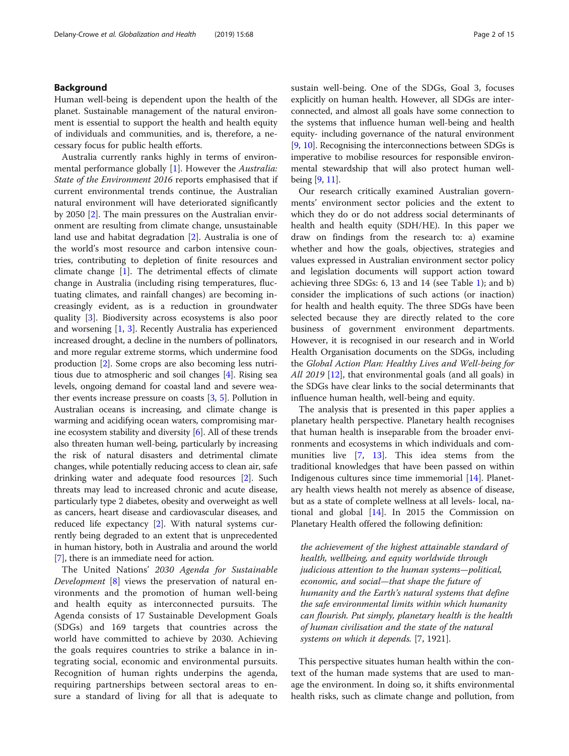#### Background

Human well-being is dependent upon the health of the planet. Sustainable management of the natural environment is essential to support the health and health equity of individuals and communities, and is, therefore, a necessary focus for public health efforts.

Australia currently ranks highly in terms of environ-mental performance globally [[1\]](#page-13-0). However the *Australia*: State of the Environment 2016 reports emphasised that if current environmental trends continue, the Australian natural environment will have deteriorated significantly by 2050 [[2\]](#page-13-0). The main pressures on the Australian environment are resulting from climate change, unsustainable land use and habitat degradation [\[2](#page-13-0)]. Australia is one of the world's most resource and carbon intensive countries, contributing to depletion of finite resources and climate change [\[1](#page-13-0)]. The detrimental effects of climate change in Australia (including rising temperatures, fluctuating climates, and rainfall changes) are becoming increasingly evident, as is a reduction in groundwater quality [\[3](#page-13-0)]. Biodiversity across ecosystems is also poor and worsening [\[1](#page-13-0), [3](#page-13-0)]. Recently Australia has experienced increased drought, a decline in the numbers of pollinators, and more regular extreme storms, which undermine food production [[2](#page-13-0)]. Some crops are also becoming less nutritious due to atmospheric and soil changes [[4](#page-13-0)]. Rising sea levels, ongoing demand for coastal land and severe weather events increase pressure on coasts [\[3,](#page-13-0) [5\]](#page-13-0). Pollution in Australian oceans is increasing, and climate change is warming and acidifying ocean waters, compromising marine ecosystem stability and diversity [[6\]](#page-13-0). All of these trends also threaten human well-being, particularly by increasing the risk of natural disasters and detrimental climate changes, while potentially reducing access to clean air, safe drinking water and adequate food resources [\[2](#page-13-0)]. Such threats may lead to increased chronic and acute disease, particularly type 2 diabetes, obesity and overweight as well as cancers, heart disease and cardiovascular diseases, and reduced life expectancy [\[2](#page-13-0)]. With natural systems currently being degraded to an extent that is unprecedented in human history, both in Australia and around the world [[7\]](#page-13-0), there is an immediate need for action.

The United Nations' 2030 Agenda for Sustainable Development  $[8]$  $[8]$  views the preservation of natural environments and the promotion of human well-being and health equity as interconnected pursuits. The Agenda consists of 17 Sustainable Development Goals (SDGs) and 169 targets that countries across the world have committed to achieve by 2030. Achieving the goals requires countries to strike a balance in integrating social, economic and environmental pursuits. Recognition of human rights underpins the agenda, requiring partnerships between sectoral areas to ensure a standard of living for all that is adequate to sustain well-being. One of the SDGs, Goal 3, focuses explicitly on human health. However, all SDGs are interconnected, and almost all goals have some connection to the systems that influence human well-being and health equity- including governance of the natural environment [[9,](#page-13-0) [10](#page-13-0)]. Recognising the interconnections between SDGs is imperative to mobilise resources for responsible environmental stewardship that will also protect human wellbeing [\[9,](#page-13-0) [11](#page-13-0)].

Our research critically examined Australian governments' environment sector policies and the extent to which they do or do not address social determinants of health and health equity (SDH/HE). In this paper we draw on findings from the research to: a) examine whether and how the goals, objectives, strategies and values expressed in Australian environment sector policy and legislation documents will support action toward achieving three SDGs: 6, 13 and 14 (see Table [1\)](#page-2-0); and b) consider the implications of such actions (or inaction) for health and health equity. The three SDGs have been selected because they are directly related to the core business of government environment departments. However, it is recognised in our research and in World Health Organisation documents on the SDGs, including the Global Action Plan: Healthy Lives and Well-being for All 2019 [[12\]](#page-13-0), that environmental goals (and all goals) in the SDGs have clear links to the social determinants that influence human health, well-being and equity.

The analysis that is presented in this paper applies a planetary health perspective. Planetary health recognises that human health is inseparable from the broader environments and ecosystems in which individuals and communities live [\[7](#page-13-0), [13\]](#page-13-0). This idea stems from the traditional knowledges that have been passed on within Indigenous cultures since time immemorial [\[14\]](#page-13-0). Planetary health views health not merely as absence of disease, but as a state of complete wellness at all levels- local, national and global [\[14](#page-13-0)]. In 2015 the Commission on Planetary Health offered the following definition:

the achievement of the highest attainable standard of health, wellbeing, and equity worldwide through judicious attention to the human systems—political, economic, and social—that shape the future of humanity and the Earth's natural systems that define the safe environmental limits within which humanity can flourish. Put simply, planetary health is the health of human civilisation and the state of the natural systems on which it depends. [7, 1921].

This perspective situates human health within the context of the human made systems that are used to manage the environment. In doing so, it shifts environmental health risks, such as climate change and pollution, from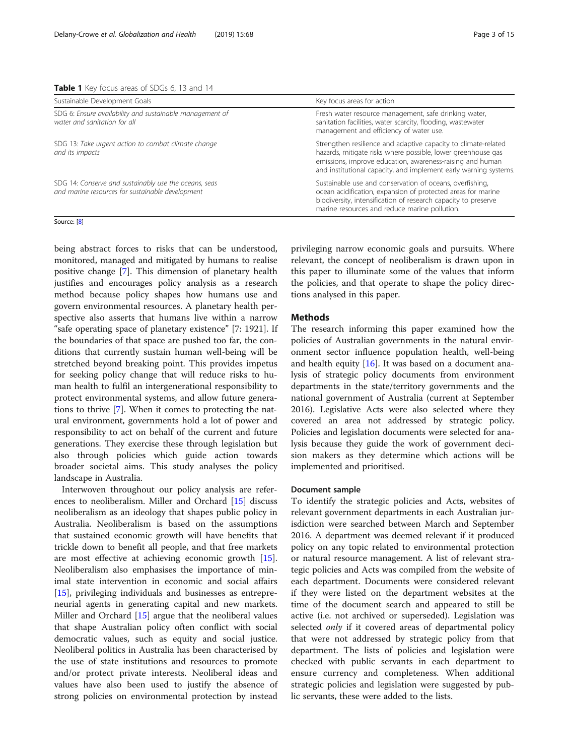<span id="page-2-0"></span>Table 1 Key focus areas of SDGs 6, 13 and 14

Source: [\[8\]](#page-13-0)

| Sustainable Development Goals                                                                             | Key focus areas for action                                                                                                                                                                                                                                      |
|-----------------------------------------------------------------------------------------------------------|-----------------------------------------------------------------------------------------------------------------------------------------------------------------------------------------------------------------------------------------------------------------|
| SDG 6: Ensure availability and sustainable management of<br>water and sanitation for all                  | Fresh water resource management, safe drinking water,<br>sanitation facilities, water scarcity, flooding, wastewater<br>management and efficiency of water use.                                                                                                 |
| SDG 13: Take urgent action to combat climate change<br>and its impacts                                    | Strengthen resilience and adaptive capacity to climate-related<br>hazards, mitigate risks where possible, lower greenhouse gas<br>emissions, improve education, awareness-raising and human<br>and institutional capacity, and implement early warning systems. |
| SDG 14: Conserve and sustainably use the oceans, seas<br>and marine resources for sustainable development | Sustainable use and conservation of oceans, overfishing,<br>ocean acidification, expansion of protected areas for marine<br>biodiversity, intensification of research capacity to preserve<br>marine resources and reduce marine pollution.                     |

being abstract forces to risks that can be understood, monitored, managed and mitigated by humans to realise positive change [\[7\]](#page-13-0). This dimension of planetary health justifies and encourages policy analysis as a research method because policy shapes how humans use and govern environmental resources. A planetary health perspective also asserts that humans live within a narrow "safe operating space of planetary existence" [7: 1921]. If the boundaries of that space are pushed too far, the conditions that currently sustain human well-being will be stretched beyond breaking point. This provides impetus for seeking policy change that will reduce risks to human health to fulfil an intergenerational responsibility to protect environmental systems, and allow future generations to thrive [\[7](#page-13-0)]. When it comes to protecting the natural environment, governments hold a lot of power and responsibility to act on behalf of the current and future generations. They exercise these through legislation but also through policies which guide action towards broader societal aims. This study analyses the policy landscape in Australia.

Interwoven throughout our policy analysis are references to neoliberalism. Miller and Orchard [[15\]](#page-13-0) discuss neoliberalism as an ideology that shapes public policy in Australia. Neoliberalism is based on the assumptions that sustained economic growth will have benefits that trickle down to benefit all people, and that free markets are most effective at achieving economic growth [\[15](#page-13-0)]. Neoliberalism also emphasises the importance of minimal state intervention in economic and social affairs [[15\]](#page-13-0), privileging individuals and businesses as entrepreneurial agents in generating capital and new markets. Miller and Orchard [\[15\]](#page-13-0) argue that the neoliberal values that shape Australian policy often conflict with social democratic values, such as equity and social justice. Neoliberal politics in Australia has been characterised by the use of state institutions and resources to promote and/or protect private interests. Neoliberal ideas and values have also been used to justify the absence of strong policies on environmental protection by instead privileging narrow economic goals and pursuits. Where relevant, the concept of neoliberalism is drawn upon in this paper to illuminate some of the values that inform the policies, and that operate to shape the policy directions analysed in this paper.

#### **Methods**

The research informing this paper examined how the policies of Australian governments in the natural environment sector influence population health, well-being and health equity [[16\]](#page-13-0). It was based on a document analysis of strategic policy documents from environment departments in the state/territory governments and the national government of Australia (current at September 2016). Legislative Acts were also selected where they covered an area not addressed by strategic policy. Policies and legislation documents were selected for analysis because they guide the work of government decision makers as they determine which actions will be implemented and prioritised.

#### Document sample

To identify the strategic policies and Acts, websites of relevant government departments in each Australian jurisdiction were searched between March and September 2016. A department was deemed relevant if it produced policy on any topic related to environmental protection or natural resource management. A list of relevant strategic policies and Acts was compiled from the website of each department. Documents were considered relevant if they were listed on the department websites at the time of the document search and appeared to still be active (i.e. not archived or superseded). Legislation was selected *only* if it covered areas of departmental policy that were not addressed by strategic policy from that department. The lists of policies and legislation were checked with public servants in each department to ensure currency and completeness. When additional strategic policies and legislation were suggested by public servants, these were added to the lists.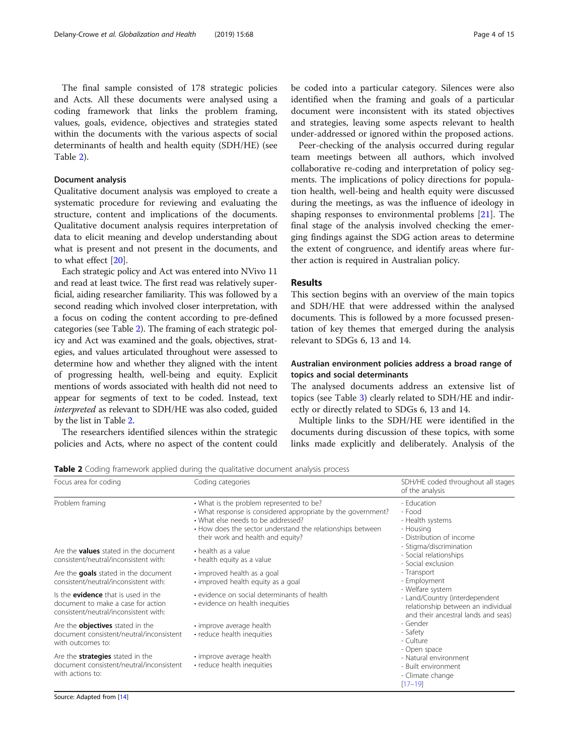The final sample consisted of 178 strategic policies and Acts. All these documents were analysed using a coding framework that links the problem framing, values, goals, evidence, objectives and strategies stated within the documents with the various aspects of social determinants of health and health equity (SDH/HE) (see Table 2).

#### Document analysis

Qualitative document analysis was employed to create a systematic procedure for reviewing and evaluating the structure, content and implications of the documents. Qualitative document analysis requires interpretation of data to elicit meaning and develop understanding about what is present and not present in the documents, and to what effect [[20\]](#page-13-0).

Each strategic policy and Act was entered into NVivo 11 and read at least twice. The first read was relatively superficial, aiding researcher familiarity. This was followed by a second reading which involved closer interpretation, with a focus on coding the content according to pre-defined categories (see Table 2). The framing of each strategic policy and Act was examined and the goals, objectives, strategies, and values articulated throughout were assessed to determine how and whether they aligned with the intent of progressing health, well-being and equity. Explicit mentions of words associated with health did not need to appear for segments of text to be coded. Instead, text interpreted as relevant to SDH/HE was also coded, guided by the list in Table 2.

The researchers identified silences within the strategic policies and Acts, where no aspect of the content could be coded into a particular category. Silences were also identified when the framing and goals of a particular document were inconsistent with its stated objectives and strategies, leaving some aspects relevant to health under-addressed or ignored within the proposed actions.

Peer-checking of the analysis occurred during regular team meetings between all authors, which involved collaborative re-coding and interpretation of policy segments. The implications of policy directions for population health, well-being and health equity were discussed during the meetings, as was the influence of ideology in shaping responses to environmental problems [\[21](#page-13-0)]. The final stage of the analysis involved checking the emerging findings against the SDG action areas to determine the extent of congruence, and identify areas where further action is required in Australian policy.

#### Results

This section begins with an overview of the main topics and SDH/HE that were addressed within the analysed documents. This is followed by a more focussed presentation of key themes that emerged during the analysis relevant to SDGs 6, 13 and 14.

## Australian environment policies address a broad range of topics and social determinants

The analysed documents address an extensive list of topics (see Table [3](#page-4-0)) clearly related to SDH/HE and indirectly or directly related to SDGs 6, 13 and 14.

Multiple links to the SDH/HE were identified in the documents during discussion of these topics, with some links made explicitly and deliberately. Analysis of the

Table 2 Coding framework applied during the qualitative document analysis process

| Focus area for coding                                                                                                     | Coding categories                                                                                                                                                                                                                                 | SDH/HE coded throughout all stages<br>of the analysis                                                                                                                                                                                                                                                                                                                                                                                                                   |
|---------------------------------------------------------------------------------------------------------------------------|---------------------------------------------------------------------------------------------------------------------------------------------------------------------------------------------------------------------------------------------------|-------------------------------------------------------------------------------------------------------------------------------------------------------------------------------------------------------------------------------------------------------------------------------------------------------------------------------------------------------------------------------------------------------------------------------------------------------------------------|
| Problem framing                                                                                                           | • What is the problem represented to be?<br>• What response is considered appropriate by the government?<br>• What else needs to be addressed?<br>• How does the sector understand the relationships between<br>their work and health and equity? | - Education<br>- Food<br>- Health systems<br>- Housing<br>- Distribution of income<br>- Stigma/discrimination<br>- Social relationships<br>- Social exclusion<br>- Transport<br>- Employment<br>- Welfare system<br>- Land/Country (interdependent<br>relationship between an individual<br>and their ancestral lands and seas)<br>- Gender<br>- Safety<br>- Culture<br>- Open space<br>- Natural environment<br>- Built environment<br>- Climate change<br>$[17 - 19]$ |
| Are the <b>values</b> stated in the document<br>consistent/neutral/inconsistent with:                                     | • health as a value<br>• health equity as a value                                                                                                                                                                                                 |                                                                                                                                                                                                                                                                                                                                                                                                                                                                         |
| Are the goals stated in the document<br>consistent/neutral/inconsistent with:                                             | • improved health as a goal<br>• improved health equity as a goal                                                                                                                                                                                 |                                                                                                                                                                                                                                                                                                                                                                                                                                                                         |
| Is the <b>evidence</b> that is used in the<br>document to make a case for action<br>consistent/neutral/inconsistent with: | • evidence on social determinants of health<br>• evidence on health inequities                                                                                                                                                                    |                                                                                                                                                                                                                                                                                                                                                                                                                                                                         |
| Are the <b>objectives</b> stated in the<br>document consistent/neutral/inconsistent<br>with outcomes to:                  | • improve average health<br>• reduce health inequities                                                                                                                                                                                            |                                                                                                                                                                                                                                                                                                                                                                                                                                                                         |
| Are the <b>strategies</b> stated in the<br>document consistent/neutral/inconsistent<br>with actions to:                   | • improve average health<br>· reduce health inequities                                                                                                                                                                                            |                                                                                                                                                                                                                                                                                                                                                                                                                                                                         |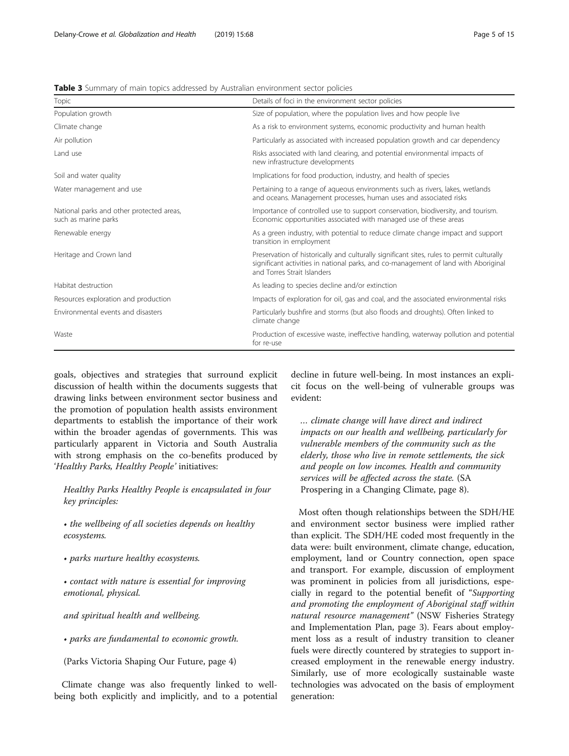#### <span id="page-4-0"></span>Table 3 Summary of main topics addressed by Australian environment sector policies

| Topic                                                             | Details of foci in the environment sector policies                                                                                                                                                              |  |
|-------------------------------------------------------------------|-----------------------------------------------------------------------------------------------------------------------------------------------------------------------------------------------------------------|--|
| Population growth                                                 | Size of population, where the population lives and how people live                                                                                                                                              |  |
| Climate change                                                    | As a risk to environment systems, economic productivity and human health                                                                                                                                        |  |
| Air pollution                                                     | Particularly as associated with increased population growth and car dependency                                                                                                                                  |  |
| Land use                                                          | Risks associated with land clearing, and potential environmental impacts of<br>new infrastructure developments                                                                                                  |  |
| Soil and water quality                                            | Implications for food production, industry, and health of species                                                                                                                                               |  |
| Water management and use                                          | Pertaining to a range of aqueous environments such as rivers, lakes, wetlands<br>and oceans. Management processes, human uses and associated risks                                                              |  |
| National parks and other protected areas,<br>such as marine parks | Importance of controlled use to support conservation, biodiversity, and tourism.<br>Economic opportunities associated with managed use of these areas                                                           |  |
| Renewable energy                                                  | As a green industry, with potential to reduce climate change impact and support<br>transition in employment                                                                                                     |  |
| Heritage and Crown land                                           | Preservation of historically and culturally significant sites, rules to permit culturally<br>significant activities in national parks, and co-management of land with Aboriginal<br>and Torres Strait Islanders |  |
| Habitat destruction                                               | As leading to species decline and/or extinction                                                                                                                                                                 |  |
| Resources exploration and production                              | Impacts of exploration for oil, gas and coal, and the associated environmental risks                                                                                                                            |  |
| Environmental events and disasters                                | Particularly bushfire and storms (but also floods and droughts). Often linked to<br>climate change                                                                                                              |  |
| Waste                                                             | Production of excessive waste, ineffective handling, waterway pollution and potential<br>for re-use                                                                                                             |  |

goals, objectives and strategies that surround explicit discussion of health within the documents suggests that drawing links between environment sector business and the promotion of population health assists environment departments to establish the importance of their work within the broader agendas of governments. This was particularly apparent in Victoria and South Australia with strong emphasis on the co-benefits produced by 'Healthy Parks, Healthy People' initiatives:

Healthy Parks Healthy People is encapsulated in four key principles:

• the wellbeing of all societies depends on healthy ecosystems.

• parks nurture healthy ecosystems.

• contact with nature is essential for improving emotional, physical.

and spiritual health and wellbeing.

• parks are fundamental to economic growth.

(Parks Victoria Shaping Our Future, page 4)

Climate change was also frequently linked to wellbeing both explicitly and implicitly, and to a potential

decline in future well-being. In most instances an explicit focus on the well-being of vulnerable groups was evident:

… climate change will have direct and indirect impacts on our health and wellbeing, particularly for vulnerable members of the community such as the elderly, those who live in remote settlements, the sick and people on low incomes. Health and community services will be affected across the state. (SA Prospering in a Changing Climate, page 8).

Most often though relationships between the SDH/HE and environment sector business were implied rather than explicit. The SDH/HE coded most frequently in the data were: built environment, climate change, education, employment, land or Country connection, open space and transport. For example, discussion of employment was prominent in policies from all jurisdictions, especially in regard to the potential benefit of "Supporting and promoting the employment of Aboriginal staff within natural resource management" (NSW Fisheries Strategy and Implementation Plan, page 3). Fears about employment loss as a result of industry transition to cleaner fuels were directly countered by strategies to support increased employment in the renewable energy industry. Similarly, use of more ecologically sustainable waste technologies was advocated on the basis of employment generation: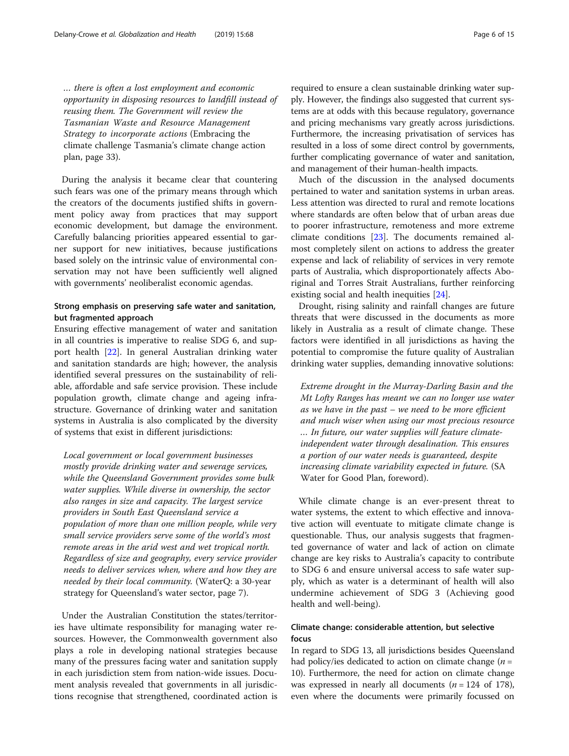… there is often a lost employment and economic opportunity in disposing resources to landfill instead of reusing them. The Government will review the Tasmanian Waste and Resource Management Strategy to incorporate actions (Embracing the climate challenge Tasmania's climate change action plan, page 33).

During the analysis it became clear that countering such fears was one of the primary means through which the creators of the documents justified shifts in government policy away from practices that may support economic development, but damage the environment. Carefully balancing priorities appeared essential to garner support for new initiatives, because justifications based solely on the intrinsic value of environmental conservation may not have been sufficiently well aligned with governments' neoliberalist economic agendas.

## Strong emphasis on preserving safe water and sanitation, but fragmented approach

Ensuring effective management of water and sanitation in all countries is imperative to realise SDG 6, and support health [\[22](#page-13-0)]. In general Australian drinking water and sanitation standards are high; however, the analysis identified several pressures on the sustainability of reliable, affordable and safe service provision. These include population growth, climate change and ageing infrastructure. Governance of drinking water and sanitation systems in Australia is also complicated by the diversity of systems that exist in different jurisdictions:

Local government or local government businesses mostly provide drinking water and sewerage services, while the Queensland Government provides some bulk water supplies. While diverse in ownership, the sector also ranges in size and capacity. The largest service providers in South East Queensland service a population of more than one million people, while very small service providers serve some of the world's most remote areas in the arid west and wet tropical north. Regardless of size and geography, every service provider needs to deliver services when, where and how they are needed by their local community. (WaterQ: a 30-year strategy for Queensland's water sector, page 7).

Under the Australian Constitution the states/territories have ultimate responsibility for managing water resources. However, the Commonwealth government also plays a role in developing national strategies because many of the pressures facing water and sanitation supply in each jurisdiction stem from nation-wide issues. Document analysis revealed that governments in all jurisdictions recognise that strengthened, coordinated action is required to ensure a clean sustainable drinking water supply. However, the findings also suggested that current systems are at odds with this because regulatory, governance and pricing mechanisms vary greatly across jurisdictions. Furthermore, the increasing privatisation of services has resulted in a loss of some direct control by governments, further complicating governance of water and sanitation, and management of their human-health impacts.

Much of the discussion in the analysed documents pertained to water and sanitation systems in urban areas. Less attention was directed to rural and remote locations where standards are often below that of urban areas due to poorer infrastructure, remoteness and more extreme climate conditions [\[23](#page-13-0)]. The documents remained almost completely silent on actions to address the greater expense and lack of reliability of services in very remote parts of Australia, which disproportionately affects Aboriginal and Torres Strait Australians, further reinforcing existing social and health inequities [\[24](#page-13-0)].

Drought, rising salinity and rainfall changes are future threats that were discussed in the documents as more likely in Australia as a result of climate change. These factors were identified in all jurisdictions as having the potential to compromise the future quality of Australian drinking water supplies, demanding innovative solutions:

Extreme drought in the Murray-Darling Basin and the Mt Lofty Ranges has meant we can no longer use water as we have in the past  $-$  we need to be more efficient and much wiser when using our most precious resource … In future, our water supplies will feature climateindependent water through desalination. This ensures a portion of our water needs is guaranteed, despite increasing climate variability expected in future. (SA Water for Good Plan, foreword).

While climate change is an ever-present threat to water systems, the extent to which effective and innovative action will eventuate to mitigate climate change is questionable. Thus, our analysis suggests that fragmented governance of water and lack of action on climate change are key risks to Australia's capacity to contribute to SDG 6 and ensure universal access to safe water supply, which as water is a determinant of health will also undermine achievement of SDG 3 (Achieving good health and well-being).

## Climate change: considerable attention, but selective focus

In regard to SDG 13, all jurisdictions besides Queensland had policy/ies dedicated to action on climate change  $(n =$ 10). Furthermore, the need for action on climate change was expressed in nearly all documents ( $n = 124$  of 178), even where the documents were primarily focussed on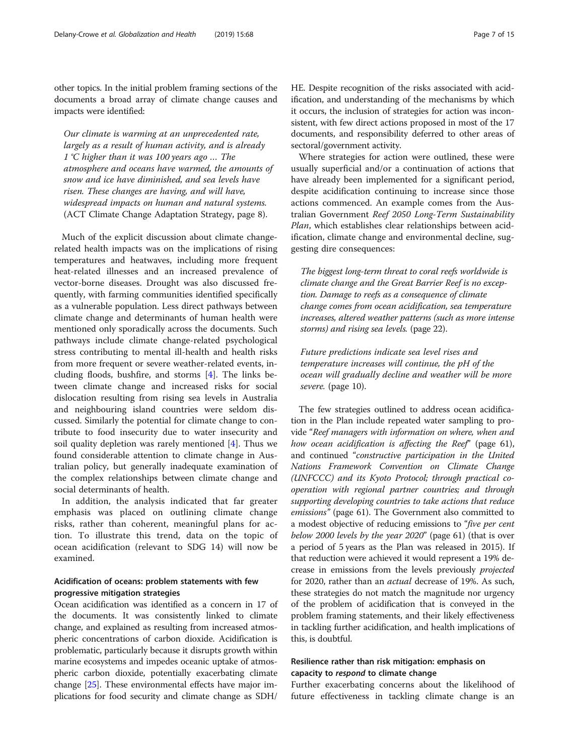other topics. In the initial problem framing sections of the documents a broad array of climate change causes and impacts were identified:

Our climate is warming at an unprecedented rate, largely as a result of human activity, and is already 1 °C higher than it was 100 years ago ... The atmosphere and oceans have warmed, the amounts of snow and ice have diminished, and sea levels have risen. These changes are having, and will have, widespread impacts on human and natural systems. (ACT Climate Change Adaptation Strategy, page 8).

Much of the explicit discussion about climate changerelated health impacts was on the implications of rising temperatures and heatwaves, including more frequent heat-related illnesses and an increased prevalence of vector-borne diseases. Drought was also discussed frequently, with farming communities identified specifically as a vulnerable population. Less direct pathways between climate change and determinants of human health were mentioned only sporadically across the documents. Such pathways include climate change-related psychological stress contributing to mental ill-health and health risks from more frequent or severe weather-related events, including floods, bushfire, and storms [[4\]](#page-13-0). The links between climate change and increased risks for social dislocation resulting from rising sea levels in Australia and neighbouring island countries were seldom discussed. Similarly the potential for climate change to contribute to food insecurity due to water insecurity and soil quality depletion was rarely mentioned [\[4](#page-13-0)]. Thus we found considerable attention to climate change in Australian policy, but generally inadequate examination of the complex relationships between climate change and social determinants of health.

In addition, the analysis indicated that far greater emphasis was placed on outlining climate change risks, rather than coherent, meaningful plans for action. To illustrate this trend, data on the topic of ocean acidification (relevant to SDG 14) will now be examined.

## Acidification of oceans: problem statements with few progressive mitigation strategies

Ocean acidification was identified as a concern in 17 of the documents. It was consistently linked to climate change, and explained as resulting from increased atmospheric concentrations of carbon dioxide. Acidification is problematic, particularly because it disrupts growth within marine ecosystems and impedes oceanic uptake of atmospheric carbon dioxide, potentially exacerbating climate change [\[25](#page-13-0)]. These environmental effects have major implications for food security and climate change as SDH/

HE. Despite recognition of the risks associated with acidification, and understanding of the mechanisms by which it occurs, the inclusion of strategies for action was inconsistent, with few direct actions proposed in most of the 17 documents, and responsibility deferred to other areas of sectoral/government activity.

Where strategies for action were outlined, these were usually superficial and/or a continuation of actions that have already been implemented for a significant period, despite acidification continuing to increase since those actions commenced. An example comes from the Australian Government Reef 2050 Long-Term Sustainability Plan, which establishes clear relationships between acidification, climate change and environmental decline, suggesting dire consequences:

The biggest long-term threat to coral reefs worldwide is climate change and the Great Barrier Reef is no exception. Damage to reefs as a consequence of climate change comes from ocean acidification, sea temperature increases, altered weather patterns (such as more intense storms) and rising sea levels. (page 22).

Future predictions indicate sea level rises and temperature increases will continue, the pH of the ocean will gradually decline and weather will be more severe. (page 10).

The few strategies outlined to address ocean acidification in the Plan include repeated water sampling to provide "Reef managers with information on where, when and how ocean acidification is affecting the Reef" (page 61), and continued "constructive participation in the United Nations Framework Convention on Climate Change (UNFCCC) and its Kyoto Protocol; through practical cooperation with regional partner countries; and through supporting developing countries to take actions that reduce emissions" (page 61). The Government also committed to a modest objective of reducing emissions to "five per cent below 2000 levels by the year 2020" (page 61) (that is over a period of 5 years as the Plan was released in 2015). If that reduction were achieved it would represent a 19% decrease in emissions from the levels previously projected for 2020, rather than an actual decrease of 19%. As such, these strategies do not match the magnitude nor urgency of the problem of acidification that is conveyed in the problem framing statements, and their likely effectiveness in tackling further acidification, and health implications of this, is doubtful.

## Resilience rather than risk mitigation: emphasis on capacity to respond to climate change

Further exacerbating concerns about the likelihood of future effectiveness in tackling climate change is an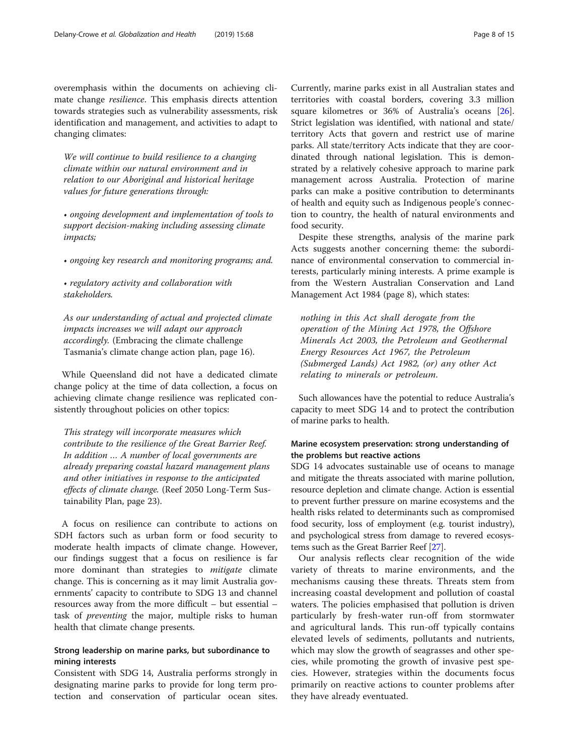overemphasis within the documents on achieving climate change resilience. This emphasis directs attention towards strategies such as vulnerability assessments, risk identification and management, and activities to adapt to changing climates:

We will continue to build resilience to a changing climate within our natural environment and in relation to our Aboriginal and historical heritage values for future generations through:

• ongoing development and implementation of tools to support decision-making including assessing climate impacts;

• ongoing key research and monitoring programs; and.

• regulatory activity and collaboration with stakeholders.

As our understanding of actual and projected climate impacts increases we will adapt our approach accordingly. (Embracing the climate challenge Tasmania's climate change action plan, page 16).

While Queensland did not have a dedicated climate change policy at the time of data collection, a focus on achieving climate change resilience was replicated consistently throughout policies on other topics:

This strategy will incorporate measures which contribute to the resilience of the Great Barrier Reef. In addition … A number of local governments are already preparing coastal hazard management plans and other initiatives in response to the anticipated effects of climate change. (Reef 2050 Long-Term Sustainability Plan, page 23).

A focus on resilience can contribute to actions on SDH factors such as urban form or food security to moderate health impacts of climate change. However, our findings suggest that a focus on resilience is far more dominant than strategies to *mitigate* climate change. This is concerning as it may limit Australia governments' capacity to contribute to SDG 13 and channel resources away from the more difficult – but essential – task of preventing the major, multiple risks to human health that climate change presents.

## Strong leadership on marine parks, but subordinance to mining interests

Consistent with SDG 14, Australia performs strongly in designating marine parks to provide for long term protection and conservation of particular ocean sites.

Currently, marine parks exist in all Australian states and territories with coastal borders, covering 3.3 million square kilometres or 36% of Australia's oceans [\[26](#page-14-0)]. Strict legislation was identified, with national and state/ territory Acts that govern and restrict use of marine parks. All state/territory Acts indicate that they are coordinated through national legislation. This is demonstrated by a relatively cohesive approach to marine park management across Australia. Protection of marine parks can make a positive contribution to determinants of health and equity such as Indigenous people's connection to country, the health of natural environments and food security.

Despite these strengths, analysis of the marine park Acts suggests another concerning theme: the subordinance of environmental conservation to commercial interests, particularly mining interests. A prime example is from the Western Australian Conservation and Land Management Act 1984 (page 8), which states:

nothing in this Act shall derogate from the operation of the Mining Act 1978, the Offshore Minerals Act 2003, the Petroleum and Geothermal Energy Resources Act 1967, the Petroleum (Submerged Lands) Act 1982, (or) any other Act relating to minerals or petroleum.

Such allowances have the potential to reduce Australia's capacity to meet SDG 14 and to protect the contribution of marine parks to health.

## Marine ecosystem preservation: strong understanding of the problems but reactive actions

SDG 14 advocates sustainable use of oceans to manage and mitigate the threats associated with marine pollution, resource depletion and climate change. Action is essential to prevent further pressure on marine ecosystems and the health risks related to determinants such as compromised food security, loss of employment (e.g. tourist industry), and psychological stress from damage to revered ecosystems such as the Great Barrier Reef [[27\]](#page-14-0).

Our analysis reflects clear recognition of the wide variety of threats to marine environments, and the mechanisms causing these threats. Threats stem from increasing coastal development and pollution of coastal waters. The policies emphasised that pollution is driven particularly by fresh-water run-off from stormwater and agricultural lands. This run-off typically contains elevated levels of sediments, pollutants and nutrients, which may slow the growth of seagrasses and other species, while promoting the growth of invasive pest species. However, strategies within the documents focus primarily on reactive actions to counter problems after they have already eventuated.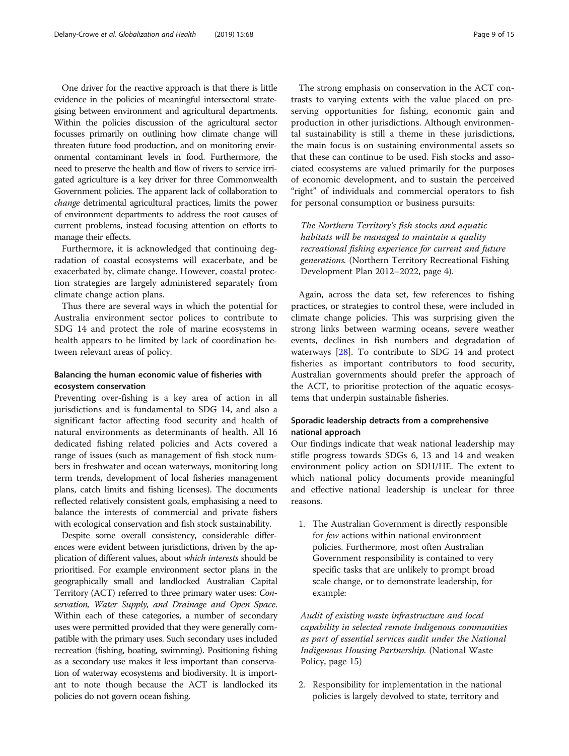One driver for the reactive approach is that there is little evidence in the policies of meaningful intersectoral strategising between environment and agricultural departments. Within the policies discussion of the agricultural sector focusses primarily on outlining how climate change will threaten future food production, and on monitoring environmental contaminant levels in food. Furthermore, the need to preserve the health and flow of rivers to service irrigated agriculture is a key driver for three Commonwealth Government policies. The apparent lack of collaboration to change detrimental agricultural practices, limits the power of environment departments to address the root causes of current problems, instead focusing attention on efforts to manage their effects.

Furthermore, it is acknowledged that continuing degradation of coastal ecosystems will exacerbate, and be exacerbated by, climate change. However, coastal protection strategies are largely administered separately from climate change action plans.

Thus there are several ways in which the potential for Australia environment sector polices to contribute to SDG 14 and protect the role of marine ecosystems in health appears to be limited by lack of coordination between relevant areas of policy.

## Balancing the human economic value of fisheries with ecosystem conservation

Preventing over-fishing is a key area of action in all jurisdictions and is fundamental to SDG 14, and also a significant factor affecting food security and health of natural environments as determinants of health. All 16 dedicated fishing related policies and Acts covered a range of issues (such as management of fish stock numbers in freshwater and ocean waterways, monitoring long term trends, development of local fisheries management plans, catch limits and fishing licenses). The documents reflected relatively consistent goals, emphasising a need to balance the interests of commercial and private fishers with ecological conservation and fish stock sustainability.

Despite some overall consistency, considerable differences were evident between jurisdictions, driven by the application of different values, about which interests should be prioritised. For example environment sector plans in the geographically small and landlocked Australian Capital Territory (ACT) referred to three primary water uses: Conservation, Water Supply, and Drainage and Open Space. Within each of these categories, a number of secondary uses were permitted provided that they were generally compatible with the primary uses. Such secondary uses included recreation (fishing, boating, swimming). Positioning fishing as a secondary use makes it less important than conservation of waterway ecosystems and biodiversity. It is important to note though because the ACT is landlocked its policies do not govern ocean fishing.

The strong emphasis on conservation in the ACT contrasts to varying extents with the value placed on preserving opportunities for fishing, economic gain and production in other jurisdictions. Although environmental sustainability is still a theme in these jurisdictions, the main focus is on sustaining environmental assets so that these can continue to be used. Fish stocks and associated ecosystems are valued primarily for the purposes of economic development, and to sustain the perceived "right" of individuals and commercial operators to fish for personal consumption or business pursuits:

The Northern Territory's fish stocks and aquatic habitats will be managed to maintain a quality recreational fishing experience for current and future generations. (Northern Territory Recreational Fishing Development Plan 2012–2022, page 4).

Again, across the data set, few references to fishing practices, or strategies to control these, were included in climate change policies. This was surprising given the strong links between warming oceans, severe weather events, declines in fish numbers and degradation of waterways  $[28]$  $[28]$  $[28]$ . To contribute to SDG 14 and protect fisheries as important contributors to food security, Australian governments should prefer the approach of the ACT, to prioritise protection of the aquatic ecosystems that underpin sustainable fisheries.

## Sporadic leadership detracts from a comprehensive national approach

Our findings indicate that weak national leadership may stifle progress towards SDGs 6, 13 and 14 and weaken environment policy action on SDH/HE. The extent to which national policy documents provide meaningful and effective national leadership is unclear for three reasons.

1. The Australian Government is directly responsible for *few* actions within national environment policies. Furthermore, most often Australian Government responsibility is contained to very specific tasks that are unlikely to prompt broad scale change, or to demonstrate leadership, for example:

Audit of existing waste infrastructure and local capability in selected remote Indigenous communities as part of essential services audit under the National Indigenous Housing Partnership. (National Waste Policy, page 15)

2. Responsibility for implementation in the national policies is largely devolved to state, territory and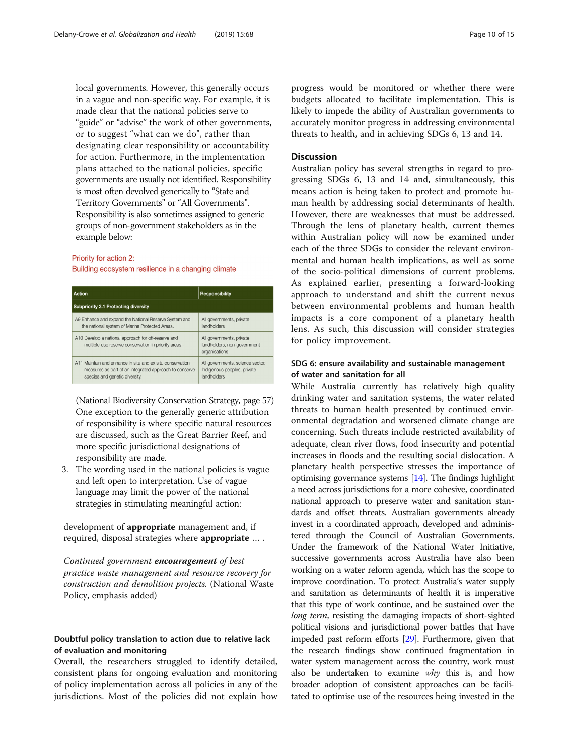local governments. However, this generally occurs in a vague and non-specific way. For example, it is made clear that the national policies serve to "guide" or "advise" the work of other governments, or to suggest "what can we do", rather than designating clear responsibility or accountability for action. Furthermore, in the implementation plans attached to the national policies, specific governments are usually not identified. Responsibility is most often devolved generically to "State and Territory Governments" or "All Governments". Responsibility is also sometimes assigned to generic groups of non-government stakeholders as in the example below:

#### Priority for action 2:

Building ecosystem resilience in a changing climate

| Action                                                                                                                                                | <b>Responsibility</b>                                                          |  |
|-------------------------------------------------------------------------------------------------------------------------------------------------------|--------------------------------------------------------------------------------|--|
| <b>Subpriority 2.1 Protecting diversity</b>                                                                                                           |                                                                                |  |
| A9 Enhance and expand the National Reserve System and<br>the national system of Marine Protected Areas.                                               | All governments, private<br>landholders                                        |  |
| A10 Develop a national approach for off-reserve and<br>multiple-use reserve conservation in priority areas.                                           | All governments, private<br>landholders, non-government<br>organisations       |  |
| A11 Maintain and enhance in situ and ex situ conservation<br>measures as part of an integrated approach to conserve<br>species and genetic diversity. | All governments, science sector,<br>Indigenous peoples, private<br>landholders |  |

(National Biodiversity Conservation Strategy, page 57) One exception to the generally generic attribution of responsibility is where specific natural resources are discussed, such as the Great Barrier Reef, and more specific jurisdictional designations of responsibility are made.

3. The wording used in the national policies is vague and left open to interpretation. Use of vague language may limit the power of the national strategies in stimulating meaningful action:

development of appropriate management and, if required, disposal strategies where appropriate … .

Continued government encouragement of best practice waste management and resource recovery for construction and demolition projects. (National Waste Policy, emphasis added)

## Doubtful policy translation to action due to relative lack of evaluation and monitoring

Overall, the researchers struggled to identify detailed, consistent plans for ongoing evaluation and monitoring of policy implementation across all policies in any of the jurisdictions. Most of the policies did not explain how progress would be monitored or whether there were budgets allocated to facilitate implementation. This is likely to impede the ability of Australian governments to accurately monitor progress in addressing environmental threats to health, and in achieving SDGs 6, 13 and 14.

#### **Discussion**

Australian policy has several strengths in regard to progressing SDGs 6, 13 and 14 and, simultaneously, this means action is being taken to protect and promote human health by addressing social determinants of health. However, there are weaknesses that must be addressed. Through the lens of planetary health, current themes within Australian policy will now be examined under each of the three SDGs to consider the relevant environmental and human health implications, as well as some of the socio-political dimensions of current problems. As explained earlier, presenting a forward-looking approach to understand and shift the current nexus between environmental problems and human health impacts is a core component of a planetary health lens. As such, this discussion will consider strategies for policy improvement.

## SDG 6: ensure availability and sustainable management of water and sanitation for all

While Australia currently has relatively high quality drinking water and sanitation systems, the water related threats to human health presented by continued environmental degradation and worsened climate change are concerning. Such threats include restricted availability of adequate, clean river flows, food insecurity and potential increases in floods and the resulting social dislocation. A planetary health perspective stresses the importance of optimising governance systems [\[14\]](#page-13-0). The findings highlight a need across jurisdictions for a more cohesive, coordinated national approach to preserve water and sanitation standards and offset threats. Australian governments already invest in a coordinated approach, developed and administered through the Council of Australian Governments. Under the framework of the National Water Initiative, successive governments across Australia have also been working on a water reform agenda, which has the scope to improve coordination. To protect Australia's water supply and sanitation as determinants of health it is imperative that this type of work continue, and be sustained over the long term, resisting the damaging impacts of short-sighted political visions and jurisdictional power battles that have impeded past reform efforts [\[29\]](#page-14-0). Furthermore, given that the research findings show continued fragmentation in water system management across the country, work must also be undertaken to examine why this is, and how broader adoption of consistent approaches can be facilitated to optimise use of the resources being invested in the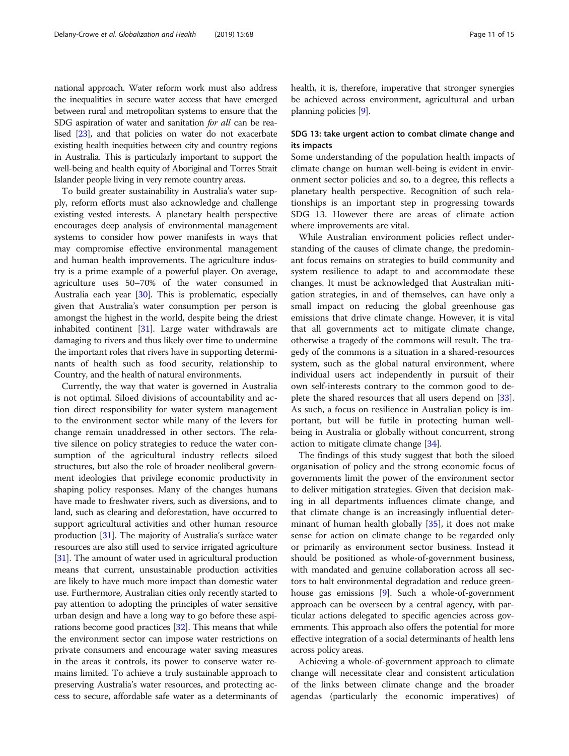national approach. Water reform work must also address the inequalities in secure water access that have emerged between rural and metropolitan systems to ensure that the SDG aspiration of water and sanitation *for all* can be realised [\[23\]](#page-13-0), and that policies on water do not exacerbate existing health inequities between city and country regions in Australia. This is particularly important to support the well-being and health equity of Aboriginal and Torres Strait Islander people living in very remote country areas.

To build greater sustainability in Australia's water supply, reform efforts must also acknowledge and challenge existing vested interests. A planetary health perspective encourages deep analysis of environmental management systems to consider how power manifests in ways that may compromise effective environmental management and human health improvements. The agriculture industry is a prime example of a powerful player. On average, agriculture uses 50–70% of the water consumed in Australia each year [[30](#page-14-0)]. This is problematic, especially given that Australia's water consumption per person is amongst the highest in the world, despite being the driest inhabited continent [\[31\]](#page-14-0). Large water withdrawals are damaging to rivers and thus likely over time to undermine the important roles that rivers have in supporting determinants of health such as food security, relationship to Country, and the health of natural environments.

Currently, the way that water is governed in Australia is not optimal. Siloed divisions of accountability and action direct responsibility for water system management to the environment sector while many of the levers for change remain unaddressed in other sectors. The relative silence on policy strategies to reduce the water consumption of the agricultural industry reflects siloed structures, but also the role of broader neoliberal government ideologies that privilege economic productivity in shaping policy responses. Many of the changes humans have made to freshwater rivers, such as diversions, and to land, such as clearing and deforestation, have occurred to support agricultural activities and other human resource production [\[31\]](#page-14-0). The majority of Australia's surface water resources are also still used to service irrigated agriculture [[31](#page-14-0)]. The amount of water used in agricultural production means that current, unsustainable production activities are likely to have much more impact than domestic water use. Furthermore, Australian cities only recently started to pay attention to adopting the principles of water sensitive urban design and have a long way to go before these aspirations become good practices [\[32\]](#page-14-0). This means that while the environment sector can impose water restrictions on private consumers and encourage water saving measures in the areas it controls, its power to conserve water remains limited. To achieve a truly sustainable approach to preserving Australia's water resources, and protecting access to secure, affordable safe water as a determinants of health, it is, therefore, imperative that stronger synergies be achieved across environment, agricultural and urban planning policies [\[9\]](#page-13-0).

## SDG 13: take urgent action to combat climate change and its impacts

Some understanding of the population health impacts of climate change on human well-being is evident in environment sector policies and so, to a degree, this reflects a planetary health perspective. Recognition of such relationships is an important step in progressing towards SDG 13. However there are areas of climate action where improvements are vital.

While Australian environment policies reflect understanding of the causes of climate change, the predominant focus remains on strategies to build community and system resilience to adapt to and accommodate these changes. It must be acknowledged that Australian mitigation strategies, in and of themselves, can have only a small impact on reducing the global greenhouse gas emissions that drive climate change. However, it is vital that all governments act to mitigate climate change, otherwise a tragedy of the commons will result. The tragedy of the commons is a situation in a shared-resources system, such as the global natural environment, where individual users act independently in pursuit of their own self-interests contrary to the common good to deplete the shared resources that all users depend on [\[33](#page-14-0)]. As such, a focus on resilience in Australian policy is important, but will be futile in protecting human wellbeing in Australia or globally without concurrent, strong action to mitigate climate change [\[34](#page-14-0)].

The findings of this study suggest that both the siloed organisation of policy and the strong economic focus of governments limit the power of the environment sector to deliver mitigation strategies. Given that decision making in all departments influences climate change, and that climate change is an increasingly influential determinant of human health globally [[35\]](#page-14-0), it does not make sense for action on climate change to be regarded only or primarily as environment sector business. Instead it should be positioned as whole-of-government business, with mandated and genuine collaboration across all sectors to halt environmental degradation and reduce greenhouse gas emissions [\[9](#page-13-0)]. Such a whole-of-government approach can be overseen by a central agency, with particular actions delegated to specific agencies across governments. This approach also offers the potential for more effective integration of a social determinants of health lens across policy areas.

Achieving a whole-of-government approach to climate change will necessitate clear and consistent articulation of the links between climate change and the broader agendas (particularly the economic imperatives) of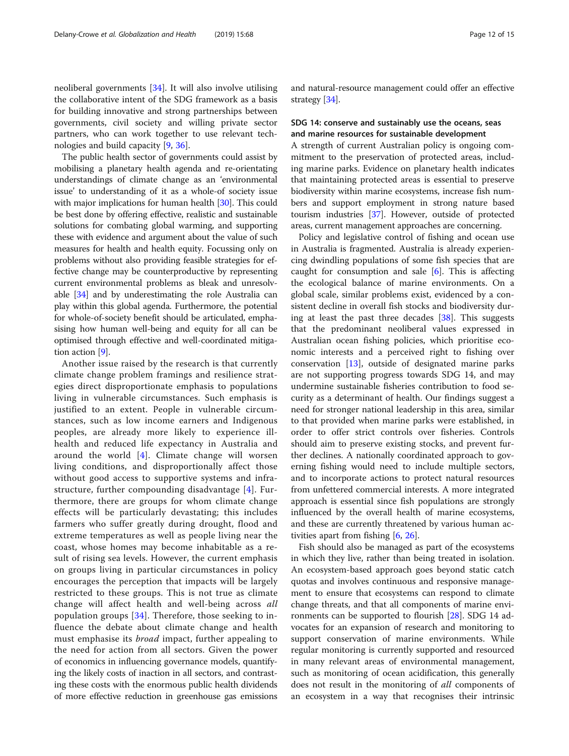neoliberal governments [[34\]](#page-14-0). It will also involve utilising the collaborative intent of the SDG framework as a basis for building innovative and strong partnerships between governments, civil society and willing private sector partners, who can work together to use relevant technologies and build capacity [[9,](#page-13-0) [36\]](#page-14-0).

The public health sector of governments could assist by mobilising a planetary health agenda and re-orientating understandings of climate change as an 'environmental issue' to understanding of it as a whole-of society issue with major implications for human health [\[30\]](#page-14-0). This could be best done by offering effective, realistic and sustainable solutions for combating global warming, and supporting these with evidence and argument about the value of such measures for health and health equity. Focussing only on problems without also providing feasible strategies for effective change may be counterproductive by representing current environmental problems as bleak and unresolvable [\[34\]](#page-14-0) and by underestimating the role Australia can play within this global agenda. Furthermore, the potential for whole-of-society benefit should be articulated, emphasising how human well-being and equity for all can be optimised through effective and well-coordinated mitigation action [\[9](#page-13-0)].

Another issue raised by the research is that currently climate change problem framings and resilience strategies direct disproportionate emphasis to populations living in vulnerable circumstances. Such emphasis is justified to an extent. People in vulnerable circumstances, such as low income earners and Indigenous peoples, are already more likely to experience illhealth and reduced life expectancy in Australia and around the world  $[4]$  $[4]$ . Climate change will worsen living conditions, and disproportionally affect those without good access to supportive systems and infrastructure, further compounding disadvantage [[4](#page-13-0)]. Furthermore, there are groups for whom climate change effects will be particularly devastating; this includes farmers who suffer greatly during drought, flood and extreme temperatures as well as people living near the coast, whose homes may become inhabitable as a result of rising sea levels. However, the current emphasis on groups living in particular circumstances in policy encourages the perception that impacts will be largely restricted to these groups. This is not true as climate change will affect health and well-being across all population groups [[34](#page-14-0)]. Therefore, those seeking to influence the debate about climate change and health must emphasise its *broad* impact, further appealing to the need for action from all sectors. Given the power of economics in influencing governance models, quantifying the likely costs of inaction in all sectors, and contrasting these costs with the enormous public health dividends of more effective reduction in greenhouse gas emissions

and natural-resource management could offer an effective strategy [\[34](#page-14-0)].

#### SDG 14: conserve and sustainably use the oceans, seas and marine resources for sustainable development

A strength of current Australian policy is ongoing commitment to the preservation of protected areas, including marine parks. Evidence on planetary health indicates that maintaining protected areas is essential to preserve biodiversity within marine ecosystems, increase fish numbers and support employment in strong nature based tourism industries [\[37\]](#page-14-0). However, outside of protected areas, current management approaches are concerning.

Policy and legislative control of fishing and ocean use in Australia is fragmented. Australia is already experiencing dwindling populations of some fish species that are caught for consumption and sale  $[6]$  $[6]$ . This is affecting the ecological balance of marine environments. On a global scale, similar problems exist, evidenced by a consistent decline in overall fish stocks and biodiversity during at least the past three decades [\[38\]](#page-14-0). This suggests that the predominant neoliberal values expressed in Australian ocean fishing policies, which prioritise economic interests and a perceived right to fishing over conservation [\[13](#page-13-0)], outside of designated marine parks are not supporting progress towards SDG 14, and may undermine sustainable fisheries contribution to food security as a determinant of health. Our findings suggest a need for stronger national leadership in this area, similar to that provided when marine parks were established, in order to offer strict controls over fisheries. Controls should aim to preserve existing stocks, and prevent further declines. A nationally coordinated approach to governing fishing would need to include multiple sectors, and to incorporate actions to protect natural resources from unfettered commercial interests. A more integrated approach is essential since fish populations are strongly influenced by the overall health of marine ecosystems, and these are currently threatened by various human activities apart from fishing [\[6](#page-13-0), [26](#page-14-0)].

Fish should also be managed as part of the ecosystems in which they live, rather than being treated in isolation. An ecosystem-based approach goes beyond static catch quotas and involves continuous and responsive management to ensure that ecosystems can respond to climate change threats, and that all components of marine environments can be supported to flourish [\[28\]](#page-14-0). SDG 14 advocates for an expansion of research and monitoring to support conservation of marine environments. While regular monitoring is currently supported and resourced in many relevant areas of environmental management, such as monitoring of ocean acidification, this generally does not result in the monitoring of *all* components of an ecosystem in a way that recognises their intrinsic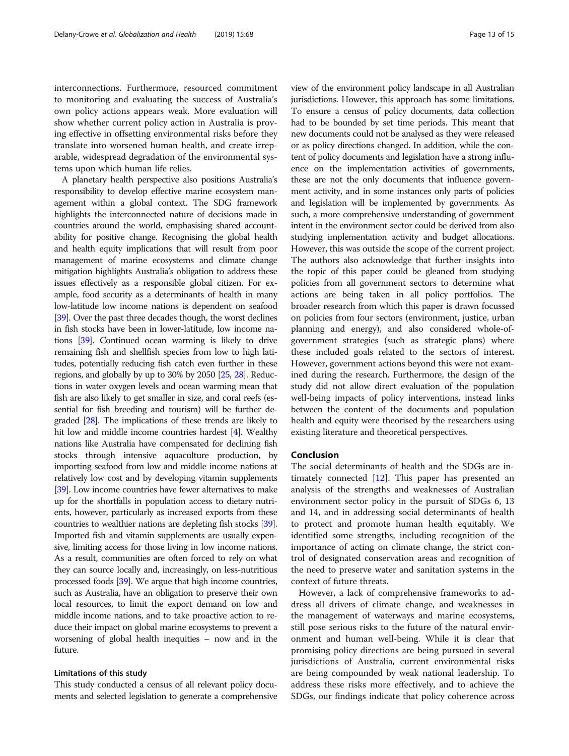interconnections. Furthermore, resourced commitment to monitoring and evaluating the success of Australia's own policy actions appears weak. More evaluation will show whether current policy action in Australia is proving effective in offsetting environmental risks before they translate into worsened human health, and create irreparable, widespread degradation of the environmental systems upon which human life relies.

A planetary health perspective also positions Australia's responsibility to develop effective marine ecosystem management within a global context. The SDG framework highlights the interconnected nature of decisions made in countries around the world, emphasising shared accountability for positive change. Recognising the global health and health equity implications that will result from poor management of marine ecosystems and climate change mitigation highlights Australia's obligation to address these issues effectively as a responsible global citizen. For example, food security as a determinants of health in many low-latitude low income nations is dependent on seafood [[39](#page-14-0)]. Over the past three decades though, the worst declines in fish stocks have been in lower-latitude, low income nations [\[39\]](#page-14-0). Continued ocean warming is likely to drive remaining fish and shellfish species from low to high latitudes, potentially reducing fish catch even further in these regions, and globally by up to 30% by 2050 [\[25,](#page-13-0) [28\]](#page-14-0). Reductions in water oxygen levels and ocean warming mean that fish are also likely to get smaller in size, and coral reefs (essential for fish breeding and tourism) will be further degraded [\[28](#page-14-0)]. The implications of these trends are likely to hit low and middle income countries hardest [\[4\]](#page-13-0). Wealthy nations like Australia have compensated for declining fish stocks through intensive aquaculture production, by importing seafood from low and middle income nations at relatively low cost and by developing vitamin supplements [[39](#page-14-0)]. Low income countries have fewer alternatives to make up for the shortfalls in population access to dietary nutrients, however, particularly as increased exports from these countries to wealthier nations are depleting fish stocks [\[39](#page-14-0)]. Imported fish and vitamin supplements are usually expensive, limiting access for those living in low income nations. As a result, communities are often forced to rely on what they can source locally and, increasingly, on less-nutritious processed foods [[39](#page-14-0)]. We argue that high income countries, such as Australia, have an obligation to preserve their own local resources, to limit the export demand on low and middle income nations, and to take proactive action to reduce their impact on global marine ecosystems to prevent a worsening of global health inequities – now and in the future.

#### Limitations of this study

This study conducted a census of all relevant policy documents and selected legislation to generate a comprehensive view of the environment policy landscape in all Australian jurisdictions. However, this approach has some limitations. To ensure a census of policy documents, data collection had to be bounded by set time periods. This meant that new documents could not be analysed as they were released or as policy directions changed. In addition, while the content of policy documents and legislation have a strong influence on the implementation activities of governments, these are not the only documents that influence government activity, and in some instances only parts of policies and legislation will be implemented by governments. As such, a more comprehensive understanding of government intent in the environment sector could be derived from also studying implementation activity and budget allocations. However, this was outside the scope of the current project. The authors also acknowledge that further insights into the topic of this paper could be gleaned from studying policies from all government sectors to determine what actions are being taken in all policy portfolios. The broader research from which this paper is drawn focussed on policies from four sectors (environment, justice, urban planning and energy), and also considered whole-ofgovernment strategies (such as strategic plans) where these included goals related to the sectors of interest. However, government actions beyond this were not examined during the research. Furthermore, the design of the study did not allow direct evaluation of the population well-being impacts of policy interventions, instead links between the content of the documents and population health and equity were theorised by the researchers using existing literature and theoretical perspectives.

#### Conclusion

The social determinants of health and the SDGs are intimately connected  $[12]$ . This paper has presented an analysis of the strengths and weaknesses of Australian environment sector policy in the pursuit of SDGs 6, 13 and 14, and in addressing social determinants of health to protect and promote human health equitably. We identified some strengths, including recognition of the importance of acting on climate change, the strict control of designated conservation areas and recognition of the need to preserve water and sanitation systems in the context of future threats.

However, a lack of comprehensive frameworks to address all drivers of climate change, and weaknesses in the management of waterways and marine ecosystems, still pose serious risks to the future of the natural environment and human well-being. While it is clear that promising policy directions are being pursued in several jurisdictions of Australia, current environmental risks are being compounded by weak national leadership. To address these risks more effectively, and to achieve the SDGs, our findings indicate that policy coherence across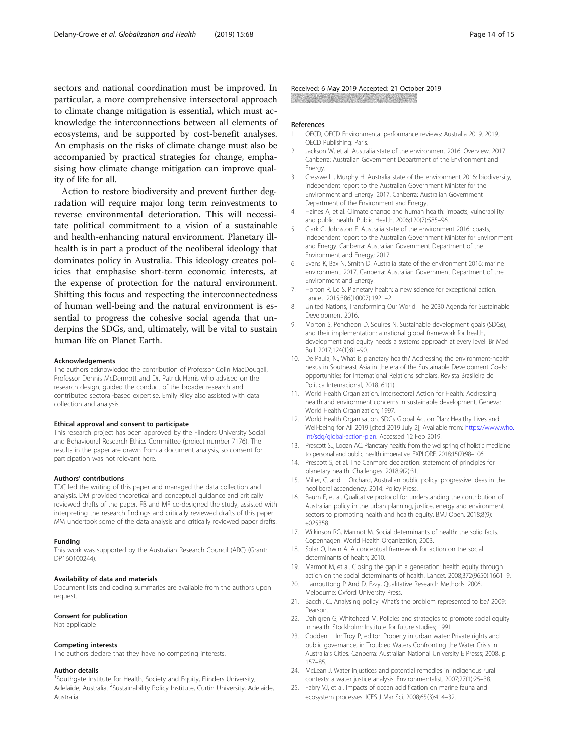<span id="page-13-0"></span>sectors and national coordination must be improved. In particular, a more comprehensive intersectoral approach to climate change mitigation is essential, which must acknowledge the interconnections between all elements of ecosystems, and be supported by cost-benefit analyses. An emphasis on the risks of climate change must also be accompanied by practical strategies for change, emphasising how climate change mitigation can improve quality of life for all.

Action to restore biodiversity and prevent further degradation will require major long term reinvestments to reverse environmental deterioration. This will necessitate political commitment to a vision of a sustainable and health-enhancing natural environment. Planetary illhealth is in part a product of the neoliberal ideology that dominates policy in Australia. This ideology creates policies that emphasise short-term economic interests, at the expense of protection for the natural environment. Shifting this focus and respecting the interconnectedness of human well-being and the natural environment is essential to progress the cohesive social agenda that underpins the SDGs, and, ultimately, will be vital to sustain human life on Planet Earth.

#### Acknowledgements

The authors acknowledge the contribution of Professor Colin MacDougall, Professor Dennis McDermott and Dr. Patrick Harris who advised on the research design, guided the conduct of the broader research and contributed sectoral-based expertise. Emily Riley also assisted with data collection and analysis.

#### Ethical approval and consent to participate

This research project has been approved by the Flinders University Social and Behavioural Research Ethics Committee (project number 7176). The results in the paper are drawn from a document analysis, so consent for participation was not relevant here.

#### Authors' contributions

TDC led the writing of this paper and managed the data collection and analysis. DM provided theoretical and conceptual guidance and critically reviewed drafts of the paper. FB and MF co-designed the study, assisted with interpreting the research findings and critically reviewed drafts of this paper. MM undertook some of the data analysis and critically reviewed paper drafts.

#### Funding

This work was supported by the Australian Research Council (ARC) (Grant: DP160100244).

#### Availability of data and materials

Document lists and coding summaries are available from the authors upon request.

#### Consent for publication

Not applicable

#### Competing interests

The authors declare that they have no competing interests.

#### Author details

<sup>1</sup>Southgate Institute for Health, Society and Equity, Flinders University, Adelaide, Australia. <sup>2</sup>Sustainability Policy Institute, Curtin University, Adelaide, Australia.

#### References

- 1. OECD, OECD Environmental performance reviews: Australia 2019. 2019, OECD Publishing: Paris.
- 2. Jackson W, et al. Australia state of the environment 2016: Overview. 2017. Canberra: Australian Government Department of the Environment and Energy.
- 3. Cresswell I, Murphy H. Australia state of the environment 2016: biodiversity, independent report to the Australian Government Minister for the Environment and Energy. 2017. Canberra: Australian Government Department of the Environment and Energy.
- 4. Haines A, et al. Climate change and human health: impacts, vulnerability and public health. Public Health. 2006;120(7):585–96.
- 5. Clark G, Johnston E. Australia state of the environment 2016: coasts, independent report to the Australian Government Minister for Environment and Energy. Canberra: Australian Government Department of the Environment and Energy; 2017.
- 6. Evans K, Bax N, Smith D. Australia state of the environment 2016: marine environment. 2017. Canberra: Australian Government Department of the Environment and Energy.
- 7. Horton R, Lo S. Planetary health: a new science for exceptional action. Lancet. 2015;386(10007):1921–2.
- United Nations, Transforming Our World: The 2030 Agenda for Sustainable Development 2016.
- 9. Morton S, Pencheon D, Squires N. Sustainable development goals (SDGs), and their implementation: a national global framework for health, development and equity needs a systems approach at every level. Br Med Bull. 2017;124(1):81–90.
- 10. De Paula, N., What is planetary health? Addressing the environment-health nexus in Southeast Asia in the era of the Sustainable Development Goals: opportunities for International Relations scholars. Revista Brasileira de Política Internacional, 2018. 61(1).
- 11. World Health Organization. Intersectoral Action for Health: Addressing health and environment concerns in sustainable development. Geneva: World Health Organization; 1997.
- 12. World Health Organisation. SDGs Global Action Plan: Healthy Lives and Well-being for All 2019 [cited 2019 July 2]; Available from: [https://www.who.](https://www.who.int/sdg/global-action-plan) [int/sdg/global-action-plan.](https://www.who.int/sdg/global-action-plan) Accessed 12 Feb 2019.
- 13. Prescott SL, Logan AC. Planetary health: from the wellspring of holistic medicine to personal and public health imperative. EXPLORE. 2018;15(2):98–106.
- 14. Prescott S, et al. The Canmore declaration: statement of principles for planetary health. Challenges. 2018;9(2):31.
- 15. Miller, C. and L. Orchard, Australian public policy: progressive ideas in the neoliberal ascendency. 2014: Policy Press.
- 16. Baum F, et al. Qualitative protocol for understanding the contribution of Australian policy in the urban planning, justice, energy and environment sectors to promoting health and health equity. BMJ Open. 2018;8(9): e025358.
- 17. Wilkinson RG, Marmot M. Social determinants of health: the solid facts. Copenhagen: World Health Organization; 2003.
- 18. Solar O, Irwin A. A conceptual framework for action on the social determinants of health; 2010.
- 19. Marmot M, et al. Closing the gap in a generation: health equity through action on the social determinants of health. Lancet. 2008;372(9650):1661–9.
- 20. Liamputtong P And D. Ezzy, Qualitative Research Methods. 2006, Melbourne: Oxford University Press.
- 21. Bacchi, C., Analysing policy: What's the problem represented to be? 2009: Pearson.
- 22. Dahlgren G, Whitehead M. Policies and strategies to promote social equity in health. Stockholm: Institute for future studies; 1991.
- 23. Godden L. In: Troy P, editor. Property in urban water: Private rights and public governance, in Troubled Waters Confronting the Water Crisis in Australia's Cities. Canberra: Australian National University E Presss; 2008. p. 157–85.
- 24. McLean J. Water injustices and potential remedies in indigenous rural contexts: a water justice analysis. Environmentalist. 2007;27(1):25–38.
- 25. Fabry VJ, et al. Impacts of ocean acidification on marine fauna and ecosystem processes. ICES J Mar Sci. 2008;65(3):414–32.